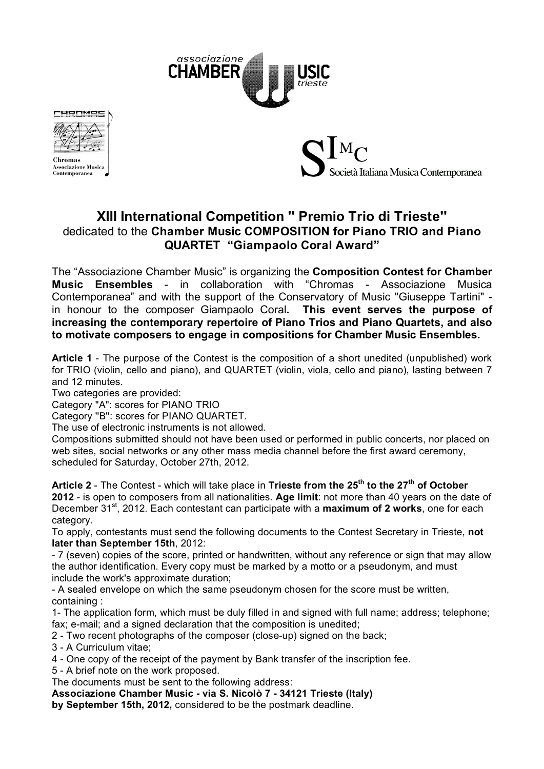



**Chromas Associazione Musica** Contemporanea



# **XIII International Competition '' Premio Trio di Trieste''**  dedicated to the **Chamber Music COMPOSITION for Piano TRIO and Piano QUARTET "Giampaolo Coral Award"**

The "Associazione Chamber Music" is organizing the **Composition Contest for Chamber Music Ensembles** - in collaboration with "Chromas - Associazione Musica Contemporanea" and with the support of the Conservatory of Music "Giuseppe Tartini"  in honour to the composer Giampaolo Coral**. This event serves the purpose of increasing the contemporary repertoire of Piano Trios and Piano Quartets, and also to motivate composers to engage in compositions for Chamber Music Ensembles.**

**Article 1** - The purpose of the Contest is the composition of a short unedited (unpublished) work for TRIO (violin, cello and piano), and QUARTET (violin, viola, cello and piano), lasting between 7 and 12 minutes.

Two categories are provided:

Category "A": scores for PIANO TRIO

Category ''B'': scores for PIANO QUARTET.

The use of electronic instruments is not allowed.

Compositions submitted should not have been used or performed in public concerts, nor placed on web sites, social networks or any other mass media channel before the first award ceremony, scheduled for Saturday, October 27th, 2012.

**Article 2** - The Contest - which will take place in **Trieste from the 25th to the 27th of October 2012** - is open to composers from all nationalities. **Age limit**: not more than 40 years on the date of December 31st, 2012. Each contestant can participate with a **maximum of 2 works**, one for each category.

To apply, contestants must send the following documents to the Contest Secretary in Trieste, **not later than September 15th**, 2012:

- 7 (seven) copies of the score, printed or handwritten, without any reference or sign that may allow the author identification. Every copy must be marked by a motto or a pseudonym, and must include the work's approximate duration;

- A sealed envelope on which the same pseudonym chosen for the score must be written, containing :

1- The application form, which must be duly filled in and signed with full name; address; telephone; fax; e-mail; and a signed declaration that the composition is unedited;

2 - Two recent photographs of the composer (close-up) signed on the back;

3 - A Curriculum vitae;

4 - One copy of the receipt of the payment by Bank transfer of the inscription fee.

5 - A brief note on the work proposed.

The documents must be sent to the following address:

**Associazione Chamber Music - via S. Nicolò 7 - 34121 Trieste (Italy)**

**by September 15th, 2012,** considered to be the postmark deadline.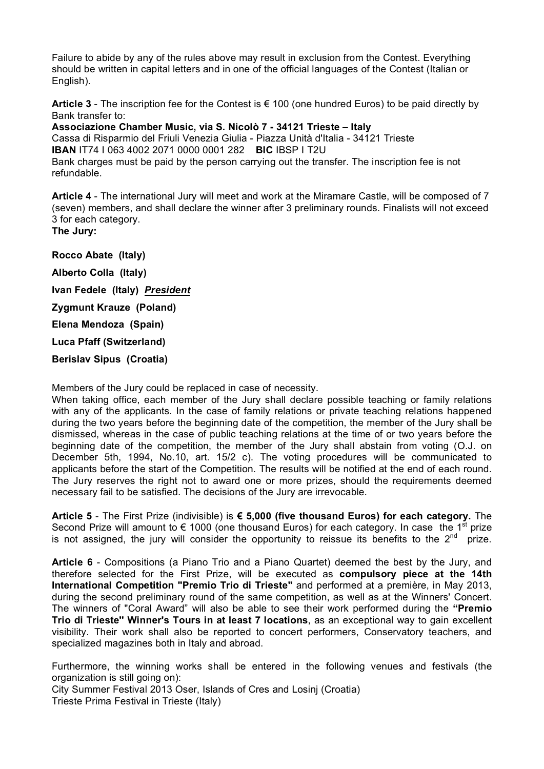Failure to abide by any of the rules above may result in exclusion from the Contest. Everything should be written in capital letters and in one of the official languages of the Contest (Italian or English).

**Article 3** - The inscription fee for the Contest is € 100 (one hundred Euros) to be paid directly by Bank transfer to:

**Associazione Chamber Music, via S. Nicolò 7 - 34121 Trieste – Italy** Cassa di Risparmio del Friuli Venezia Giulia - Piazza Unità d'Italia - 34121 Trieste **IBAN** IT74 I 063 4002 2071 0000 0001 282 **BIC** IBSP I T2U Bank charges must be paid by the person carrying out the transfer. The inscription fee is not refundable.

**Article 4** - The international Jury will meet and work at the Miramare Castle, will be composed of 7 (seven) members, and shall declare the winner after 3 preliminary rounds. Finalists will not exceed 3 for each category.

**The Jury:**

**Rocco Abate (Italy) Alberto Colla (Italy) Ivan Fedele (Italy)** *President* **Zygmunt Krauze (Poland) Elena Mendoza (Spain) Luca Pfaff (Switzerland) Berislav Sipus (Croatia)**

Members of the Jury could be replaced in case of necessity.

When taking office, each member of the Jury shall declare possible teaching or family relations with any of the applicants. In the case of family relations or private teaching relations happened during the two years before the beginning date of the competition, the member of the Jury shall be dismissed, whereas in the case of public teaching relations at the time of or two years before the beginning date of the competition, the member of the Jury shall abstain from voting (O.J. on December 5th, 1994, No.10, art. 15/2 c). The voting procedures will be communicated to applicants before the start of the Competition. The results will be notified at the end of each round. The Jury reserves the right not to award one or more prizes, should the requirements deemed necessary fail to be satisfied. The decisions of the Jury are irrevocable.

**Article 5** - The First Prize (indivisible) is **€ 5,000 (five thousand Euros) for each category.** The Second Prize will amount to  $\epsilon$  1000 (one thousand Euros) for each category. In case the 1<sup>st</sup> prize is not assigned, the jury will consider the opportunity to reissue its benefits to the  $2^{nd}$  prize.

**Article 6** - Compositions (a Piano Trio and a Piano Quartet) deemed the best by the Jury, and therefore selected for the First Prize, will be executed as **compulsory piece at the 14th International Competition "Premio Trio di Trieste"** and performed at a première, in May 2013, during the second preliminary round of the same competition, as well as at the Winners' Concert. The winners of "Coral Award" will also be able to see their work performed during the **"Premio Trio di Trieste'' Winner's Tours in at least 7 locations**, as an exceptional way to gain excellent visibility. Their work shall also be reported to concert performers, Conservatory teachers, and specialized magazines both in Italy and abroad.

Furthermore, the winning works shall be entered in the following venues and festivals (the organization is still going on):

City Summer Festival 2013 Oser, Islands of Cres and Losinj (Croatia) Trieste Prima Festival in Trieste (Italy)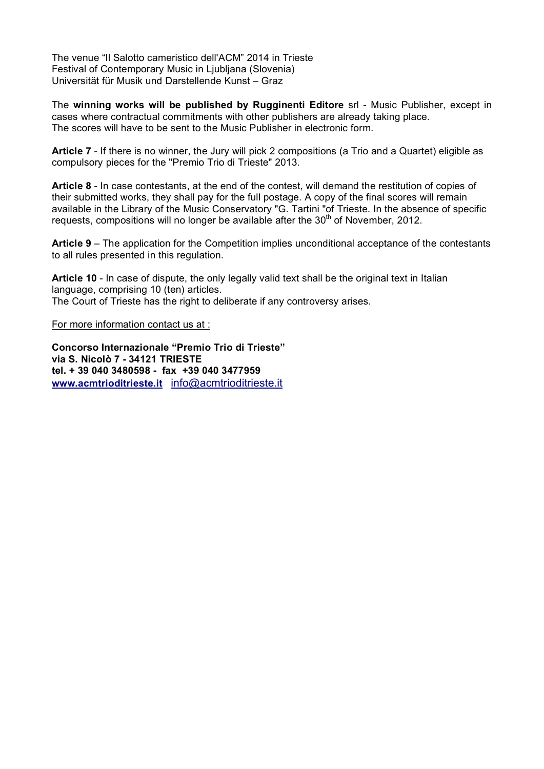The venue "Il Salotto cameristico dell'ACM" 2014 in Trieste Festival of Contemporary Music in Ljubljana (Slovenia) Universität für Musik und Darstellende Kunst – Graz

The **winning works will be published by Rugginenti Editore** srl - Music Publisher, except in cases where contractual commitments with other publishers are already taking place. The scores will have to be sent to the Music Publisher in electronic form.

**Article 7** - If there is no winner, the Jury will pick 2 compositions (a Trio and a Quartet) eligible as compulsory pieces for the "Premio Trio di Trieste" 2013.

**Article 8** - In case contestants, at the end of the contest, will demand the restitution of copies of their submitted works, they shall pay for the full postage. A copy of the final scores will remain available in the Library of the Music Conservatory "G. Tartini "of Trieste. In the absence of specific requests, compositions will no longer be available after the  $30<sup>th</sup>$  of November, 2012.

**Article 9** – The application for the Competition implies unconditional acceptance of the contestants to all rules presented in this regulation.

**Article 10** - In case of dispute, the only legally valid text shall be the original text in Italian language, comprising 10 (ten) articles. The Court of Trieste has the right to deliberate if any controversy arises.

For more information contact us at :

**Concorso Internazionale "Premio Trio di Trieste" via S. Nicolò 7 - 34121 TRIESTE tel. + 39 040 3480598 - fax +39 040 3477959 www.acmtrioditrieste.it** info@acmtrioditrieste.it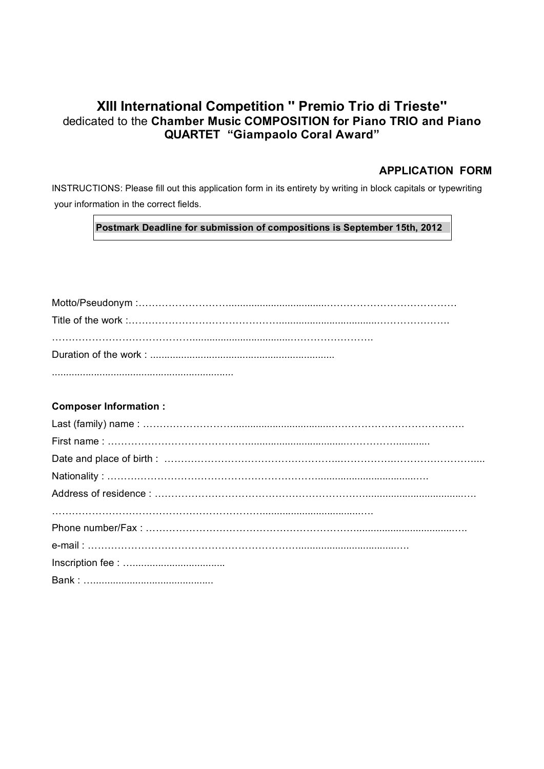## **XIII International Competition '' Premio Trio di Trieste''**  dedicated to the **Chamber Music COMPOSITION for Piano TRIO and Piano QUARTET "Giampaolo Coral Award"**

## **APPLICATION FORM**

INSTRUCTIONS: Please fill out this application form in its entirety by writing in block capitals or typewriting your information in the correct fields.

### **Postmark Deadline for submission of compositions is September 15th, 2012**

## **Composer Information :**